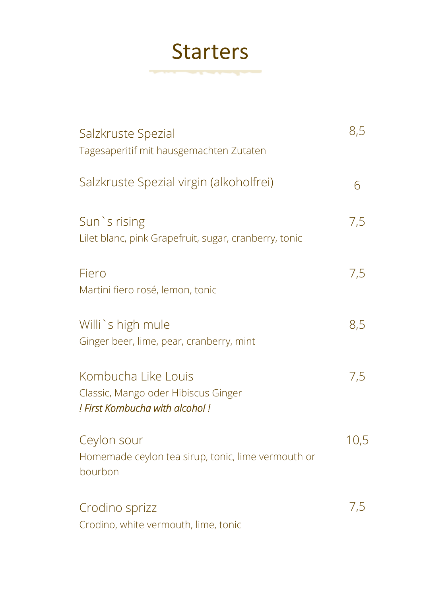### **Starters**

*<u>Property and the second property and the second property and the second property and the second property and the second property and the second property and the second property and the second property and the second pro*</u>

| Salzkruste Spezial<br>Tagesaperitif mit hausgemachten Zutaten                                | 8,5  |
|----------------------------------------------------------------------------------------------|------|
| Salzkruste Spezial virgin (alkoholfrei)                                                      | 6    |
| Sun `s rising<br>Lilet blanc, pink Grapefruit, sugar, cranberry, tonic                       | 7,5  |
| Fiero<br>Martini fiero rosé, lemon, tonic                                                    | 7,5  |
| Willi's high mule<br>Ginger beer, lime, pear, cranberry, mint                                | 8,5  |
| Kombucha Like Louis<br>Classic, Mango oder Hibiscus Ginger<br>! First Kombucha with alcohol! | 7,5  |
| Ceylon sour<br>Homemade ceylon tea sirup, tonic, lime vermouth or<br>bourbon                 | 10,5 |
| Crodino sprizz<br>Crodino, white vermouth, lime, tonic                                       | 7,5  |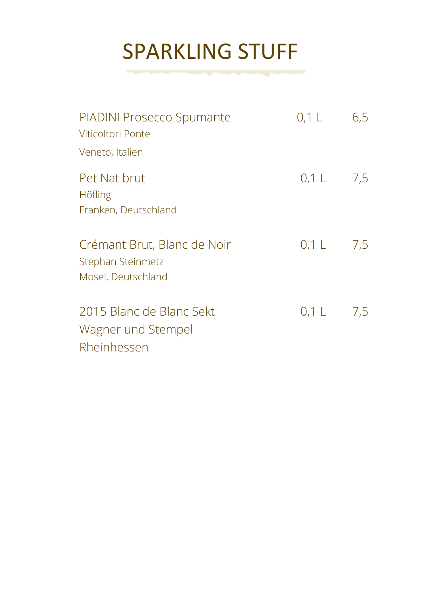## SPARKLING STUFF

**The Company of the Company of the Company** 

÷,

| PIADINI Prosecco Spumante<br>Viticoltori Ponte                            | $0,1$ L               | 6,5 |
|---------------------------------------------------------------------------|-----------------------|-----|
| Veneto, Italien<br>Pet Nat brut<br><b>Höfling</b><br>Franken, Deutschland | $0,1 \quad 7,5$       |     |
| Crémant Brut, Blanc de Noir<br>Stephan Steinmetz<br>Mosel, Deutschland    | $0.1 \, \text{L}$ 7.5 |     |
| 2015 Blanc de Blanc Sekt<br>Wagner und Stempel<br>Rheinhessen             | $0,1$ L $7,5$         |     |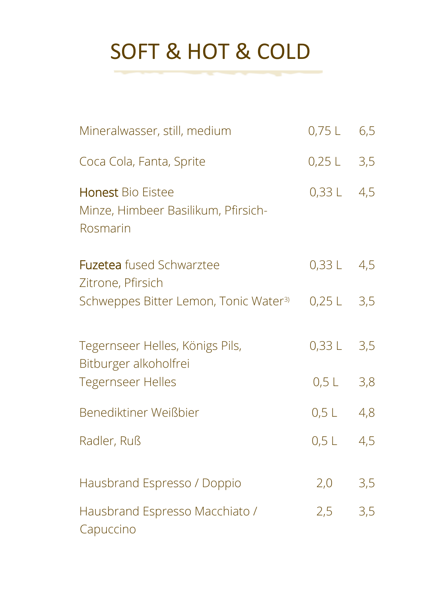# SOFT & HOT & COLD

| Mineralwasser, still, medium                                                | $0,75$ L     | 6,5 |
|-----------------------------------------------------------------------------|--------------|-----|
| Coca Cola, Fanta, Sprite                                                    | $0,25$ L     | 3,5 |
| <b>Honest Bio Eistee</b><br>Minze, Himbeer Basilikum, Pfirsich-<br>Rosmarin | 0,33 L       | 4,5 |
| <b>Fuzetea</b> fused Schwarztee<br>Zitrone, Pfirsich                        | $0,33 L$ 4,5 |     |
| Schweppes Bitter Lemon, Tonic Water <sup>3)</sup>                           | $0,25$ L     | 3,5 |
| Tegernseer Helles, Königs Pils,<br>Bitburger alkoholfrei                    | 0,33L        | 3,5 |
| <b>Tegernseer Helles</b>                                                    | $0,5$ L      | 3,8 |
| Benediktiner Weißbier                                                       | $0,5$ L      | 4,8 |
| Radler, Ruß                                                                 | $0,5$ L      | 4,5 |
| Hausbrand Espresso / Doppio                                                 | 2,0          | 3,5 |
| Hausbrand Espresso Macchiato /<br>Capuccino                                 | 2,5          | 3,5 |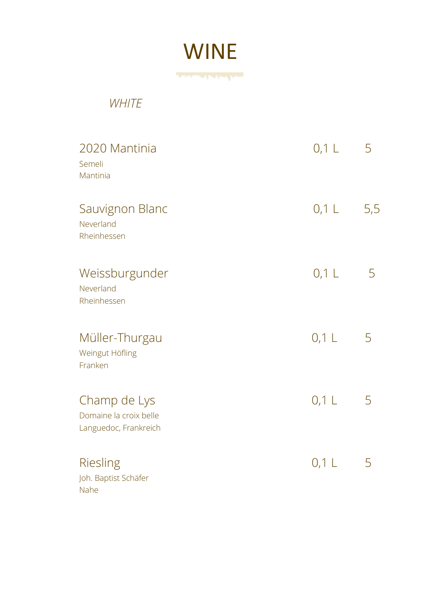

**The State of Contract of the Contract of the Contract of The Contract of The Contract of The Contract of The Contract of The Contract of The Contract of The Contract of The Contract of The Contract of The Contract of The** 

#### *WHITE*

| 2020 Mantinia<br>Semeli<br>Mantinia                             | $0,1$ L | 5   |
|-----------------------------------------------------------------|---------|-----|
| Sauvignon Blanc<br>Neverland<br>Rheinhessen                     | $0,1$ L | 5,5 |
| Weissburgunder<br>Neverland<br>Rheinhessen                      | $0,1$ L | 5   |
| Müller-Thurgau<br>Weingut Höfling<br>Franken                    | $0,1$ L | 5   |
| Champ de Lys<br>Domaine la croix belle<br>Languedoc, Frankreich | $0,1$ L | 5   |
| Riesling<br>Joh. Baptist Schäfer<br>Nahe                        | $0,1$ L | 5   |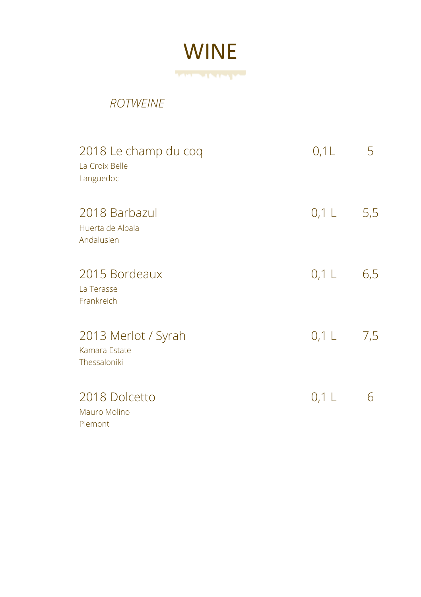

#### *ROTWEINE*

| 2018 Le champ du coq<br>La Croix Belle<br>Languedoc  | 0,1L        | 5   |
|------------------------------------------------------|-------------|-----|
| 2018 Barbazul<br>Huerta de Albala<br>Andalusien      | $0,1$ L     | 5,5 |
| 2015 Bordeaux<br>La Terasse<br>Frankreich            | $0,1$ L     | 6,5 |
| 2013 Merlot / Syrah<br>Kamara Estate<br>Thessaloniki | $0,1 \perp$ | 7,5 |
| 2018 Dolcetto<br>Mauro Molino<br>Piemont             | $0,1$ L     | 6   |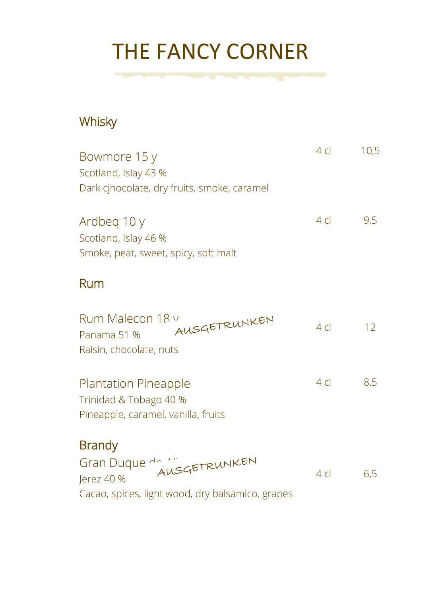# THE FANCY CORNER

the contract of the contract of the contract of the contract of the contract of the contract of the contract of

### **Whisky**

| Bowmore 15 y<br>Scotland, Islay 43 %<br>Dark cjhocolate, dry fruits, smoke, caramel          | 4 cl      | 10,5 |
|----------------------------------------------------------------------------------------------|-----------|------|
| Ardbeg 10 y<br>Scotland, Islay 46 %<br>Smoke, peat, sweet, spicy, soft malt                  | $4 \,$ cl | 9,5  |
| Rum                                                                                          |           |      |
| Rum Malecon 18 v<br>AUSGETRUNKEN<br>Panama 51 %<br>Raisin, chocolate, nuts                   | 4 cl      | 12   |
| <b>Plantation Pineapple</b><br>Trinidad & Tobago 40 %<br>Pineapple, caramel, vanilla, fruits | $4 \,$ cl | 8,5  |
| <b>Brandy</b><br>Gran Duque de 1" GrankEN<br>Jerez 40 %                                      | 4c        | 6,5  |

Cacao, spices, light wood, dry balsamico, grapes